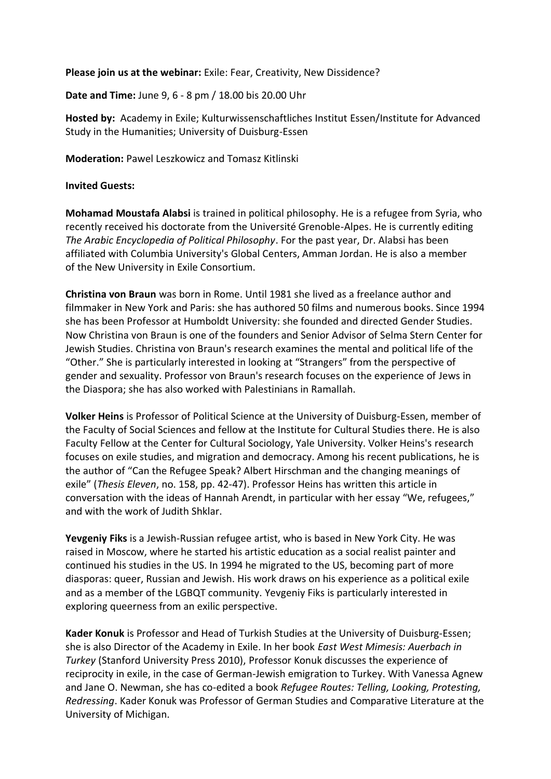**Please join us at the webinar:** Exile: Fear, Creativity, New Dissidence?

**Date and Time:** June 9, 6 - 8 pm / 18.00 bis 20.00 Uhr

**Hosted by:** Academy in Exile; Kulturwissenschaftliches Institut Essen/Institute for Advanced Study in the Humanities; University of Duisburg-Essen

**Moderation:** Pawel Leszkowicz and Tomasz Kitlinski

## **Invited Guests:**

**Mohamad Moustafa Alabsi** is trained in political philosophy. He is a refugee from Syria, who recently received his doctorate from the Université Grenoble-Alpes. He is currently editing *The Arabic Encyclopedia of Political Philosophy*. For the past year, Dr. Alabsi has been affiliated with Columbia University's Global Centers, Amman Jordan. He is also a member of the New University in Exile Consortium.

**Christina von Braun** was born in Rome. Until 1981 she lived as a freelance author and filmmaker in New York and Paris: she has authored 50 films and numerous books. Since 1994 she has been Professor at Humboldt University: she founded and directed Gender Studies. Now Christina von Braun is one of the founders and Senior Advisor of Selma Stern Center for Jewish Studies. Christina von Braun's research examines the mental and political life of the "Other." She is particularly interested in looking at "Strangers" from the perspective of gender and sexuality. Professor von Braun's research focuses on the experience of Jews in the Diaspora; she has also worked with Palestinians in Ramallah.

**Volker Heins** is Professor of Political Science at the University of Duisburg-Essen, member of the Faculty of Social Sciences and fellow at the Institute for Cultural Studies there. He is also Faculty Fellow at the Center for Cultural Sociology, Yale University. Volker Heins's research focuses on exile studies, and migration and democracy. Among his recent publications, he is the author of "Can the Refugee Speak? Albert Hirschman and the changing meanings of exile" (*Thesis Eleven*, no. 158, pp. 42-47). Professor Heins has written this article in conversation with the ideas of Hannah Arendt, in particular with her essay "We, refugees," and with the work of Judith Shklar.

**Yevgeniy Fiks** is a Jewish-Russian refugee artist, who is based in New York City. He was raised in Moscow, where he started his artistic education as a social realist painter and continued his studies in the US. In 1994 he migrated to the US, becoming part of more diasporas: queer, Russian and Jewish. His work draws on his experience as a political exile and as a member of the LGBQT community. Yevgeniy Fiks is particularly interested in exploring queerness from an exilic perspective.

**Kader Konuk** is Professor and Head of Turkish Studies at the University of Duisburg-Essen; she is also Director of the Academy in Exile. In her book *East West Mimesis: Auerbach in Turkey* (Stanford University Press 2010), Professor Konuk discusses the experience of reciprocity in exile, in the case of German-Jewish emigration to Turkey. With Vanessa Agnew and Jane O. Newman, she has co-edited a book *Refugee Routes: Telling, Looking, Protesting, Redressing*. Kader Konuk was Professor of German Studies and Comparative Literature at the University of Michigan.